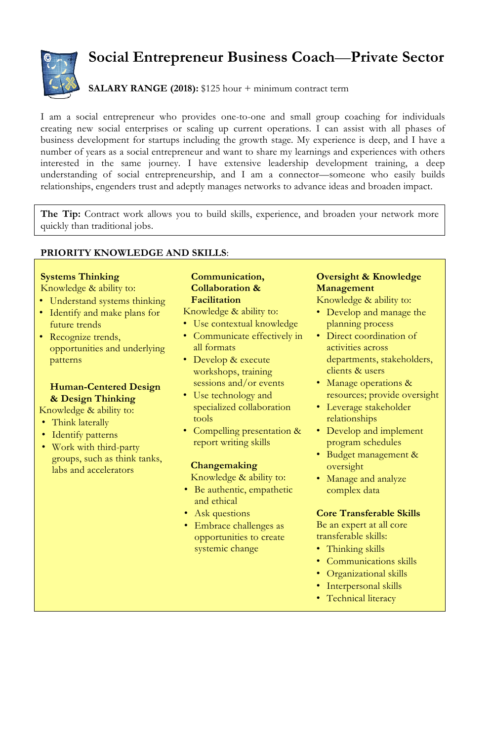

# **Social Entrepreneur Business Coach**—**Private Sector**

## **SALARY RANGE (2018):** \$125 hour + minimum contract term

I am a social entrepreneur who provides one-to-one and small group coaching for individuals creating new social enterprises or scaling up current operations. I can assist with all phases of business development for startups including the growth stage. My experience is deep, and I have a number of years as a social entrepreneur and want to share my learnings and experiences with others interested in the same journey. I have extensive leadership development training, a deep understanding of social entrepreneurship, and I am a connector—someone who easily builds relationships, engenders trust and adeptly manages networks to advance ideas and broaden impact.

**The Tip:** Contract work allows you to build skills, experience, and broaden your network more quickly than traditional jobs.

### **PRIORITY KNOWLEDGE AND SKILLS**:

# **Systems Thinking**

- Knowledge & ability to:
- Understand systems thinking
- Identify and make plans for future trends
- Recognize trends, opportunities and underlying patterns

#### **Human-Centered Design & Design Thinking**

Knowledge & ability to:

- Think laterally
- Identify patterns
- Work with third-party groups, such as think tanks, labs and accelerators

#### **Communication, Collaboration & Facilitation**

- Knowledge & ability to:
- Use contextual knowledge
- Communicate effectively in all formats
- Develop & execute workshops, training sessions and/or events
- Use technology and specialized collaboration tools
- Compelling presentation & report writing skills

#### **Changemaking**

Knowledge & ability to:

- Be authentic, empathetic and ethical
- Ask questions
- Embrace challenges as opportunities to create systemic change

## **Oversight & Knowledge Management**

Knowledge & ability to:

- Develop and manage the planning process
- Direct coordination of activities across departments, stakeholders, clients & users
- Manage operations & resources; provide oversight
- Leverage stakeholder relationships
- Develop and implement program schedules
- Budget management & oversight
- Manage and analyze complex data

#### **Core Transferable Skills**

Be an expert at all core transferable skills:

- Thinking skills
- Communications skills
- Organizational skills
- Interpersonal skills
- Technical literacy